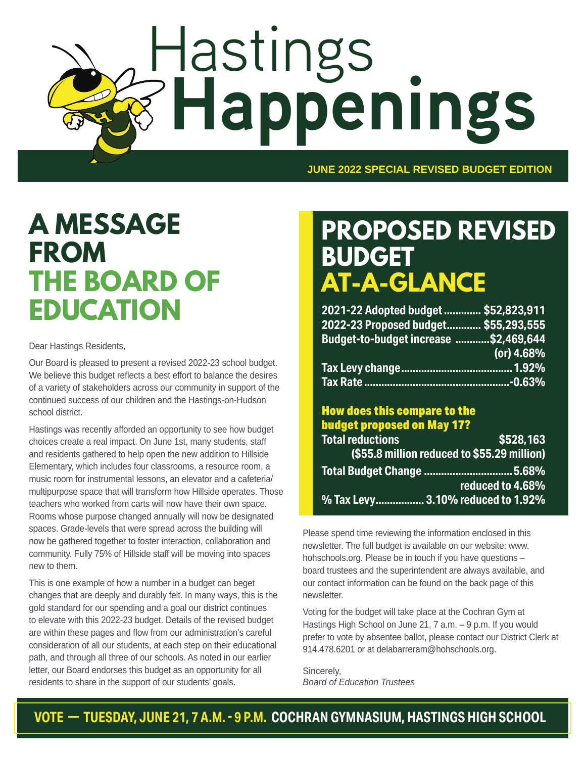# Hastings **Happenings**

**JUNE 2022 SPECIAL REVISED BUDGET EDITION**

# **A MESSAGE FROM THE BOARD OF EDUCATION**

Dear Hastings Residents,

Our Board is pleased to present a revised 2022-23 school budget. We believe this budget reflects a best effort to balance the desires of a variety of stakeholders across our community in support of the continued success of our children and the Hastings-on-Hudson school district.

Hastings was recently afforded an opportunity to see how budget choices create a real impact. On June 1st, many students, staff and residents gathered to help open the new addition to Hillside Elementary, which includes four classrooms, a resource room, a music room for instrumental lessons, an elevator and a cafeteria/ multipurpose space that will transform how Hillside operates. Those teachers who worked from carts will now have their own space. Rooms whose purpose changed annually will now be designated spaces. Grade-levels that were spread across the building will now be gathered together to foster interaction, collaboration and community. Fully 75% of Hillside staff will be moving into spaces new to them.

This is one example of how a number in a budget can beget changes that are deeply and durably felt. In many ways, this is the gold standard for our spending and a goal our district continues to elevate with this 2022-23 budget. Details of the revised budget are within these pages and flow from our administration's careful consideration of all our students, at each step on their educational path, and through all three of our schools. As noted in our earlier letter, our Board endorses this budget as an opportunity for all residents to share in the support of our students' goals.

# **PROPOSED REVISED BUDGET AT-A-GLANCE**

| 2021-22 Adopted budget  \$52,823,911  |            |
|---------------------------------------|------------|
| 2022-23 Proposed budget \$55,293,555  |            |
| Budget-to-budget increase \$2,469,644 |            |
|                                       | (or) 4.68% |
|                                       |            |
|                                       |            |

#### How does this compare to the budget proposed on May 17? **Total reductions \$528,163 (\$55.8 million reduced to \$55.29 million)**

| Total Budget Change  5.68%        |
|-----------------------------------|
| reduced to 4.68%                  |
| % Tax Levy 3.10% reduced to 1.92% |

Please spend time reviewing the information enclosed in this newsletter. The full budget is available on our website: www. hohschools.org. Please be in touch if you have questions – board trustees and the superintendent are always available, and our contact information can be found on the back page of this newsletter.

Voting for the budget will take place at the Cochran Gym at Hastings High School on June 21, 7 a.m. – 9 p.m. If you would prefer to vote by absentee ballot, please contact our District Clerk at 914.478.6201 or at delabarreram@hohschools.org.

Sincerely, *Board of Education Trustees*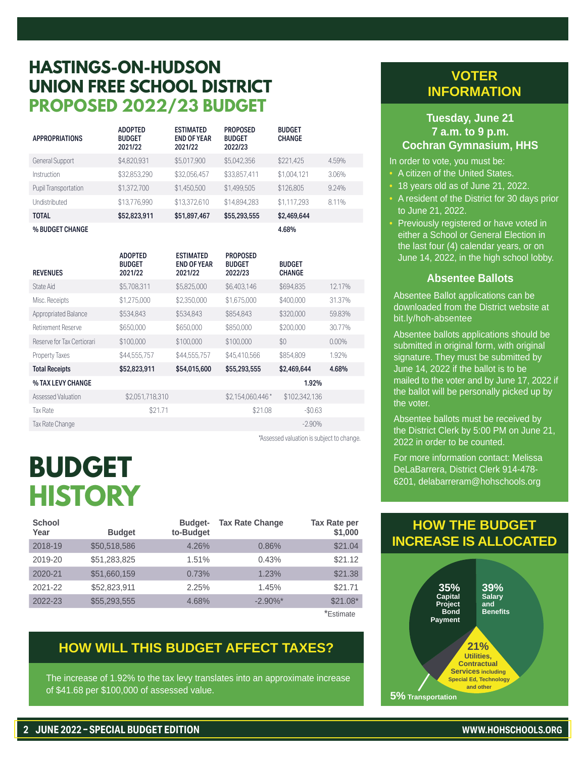## **HASTINGS-ON-HUDSON UNION FREE SCHOOL DISTRICT PROPOSED 2022/23 BUDGET**

| <b>APPROPRIATIONS</b> | <b>ADOPTED</b><br><b>BUDGET</b><br>2021/22 | <b>ESTIMATED</b><br><b>END OF YEAR</b><br>2021/22 | <b>PROPOSED</b><br><b>BUDGET</b><br>2022/23 | <b>BUDGET</b><br><b>CHANGE</b> |       |
|-----------------------|--------------------------------------------|---------------------------------------------------|---------------------------------------------|--------------------------------|-------|
| General Support       | \$4,820,931                                | \$5,017,900                                       | \$5.042,356                                 | \$221.425                      | 4.59% |
| Instruction           | \$32,853,290                               | \$32.056.457                                      | \$33.857.411                                | \$1,004,121                    | 3.06% |
| Pupil Transportation  | \$1,372,700                                | \$1,450,500                                       | \$1.499.505                                 | \$126,805                      | 9.24% |
| Undistributed         | \$13,776,990                               | \$13.372.610                                      | \$14.894.283                                | \$1.117.293                    | 8.11% |
| <b>TOTAL</b>          | \$52,823,911                               | \$51,897,467                                      | \$55,293,555                                | \$2,469,644                    |       |
| % BUDGET CHANGE       |                                            |                                                   |                                             | 4.68%                          |       |

| <b>REVENUES</b>             | <b>ADOPTED</b><br><b>BUDGET</b><br>2021/22 | <b>ESTIMATED</b><br><b>END OF YEAR</b><br>2021/22 | <b>PROPOSED</b><br><b>BUDGET</b><br>2022/23 | <b>BUDGET</b><br><b>CHANGE</b> |          |
|-----------------------------|--------------------------------------------|---------------------------------------------------|---------------------------------------------|--------------------------------|----------|
|                             |                                            |                                                   |                                             |                                |          |
| State Aid                   | \$5,708,311                                | \$5,825,000                                       | \$6,403,146                                 | \$694,835                      | 12.17%   |
| Misc. Receipts              | \$1.275.000                                | \$2,350,000                                       | \$1.675.000                                 | \$400.000                      | 31.37%   |
| <b>Appropriated Balance</b> | \$534,843                                  | \$534,843                                         | \$854,843                                   | \$320,000                      | 59.83%   |
| Retirement Reserve          | \$650,000                                  | \$650,000                                         | \$850,000                                   | \$200,000                      | 30.77%   |
| Reserve for Tax Certiorari  | \$100,000                                  | \$100,000                                         | \$100,000                                   | \$0                            | $0.00\%$ |
| <b>Property Taxes</b>       | \$44,555,757                               | \$44,555,757                                      | \$45,410,566                                | \$854,809                      | 1.92%    |
| <b>Total Receipts</b>       | \$52,823,911                               | \$54,015,600                                      | \$55,293,555                                | \$2,469,644                    | 4.68%    |
| % TAX LEVY CHANGE           |                                            |                                                   |                                             | 1.92%                          |          |
| Assessed Valuation          | \$2.051.718.310                            |                                                   | \$2.154.060.446*                            | \$102,342,136                  |          |
| <b>Tax Rate</b>             | \$21.71                                    |                                                   | \$21.08                                     | $-$0.63$                       |          |
| Tax Rate Change             |                                            |                                                   |                                             | $-2.90\%$                      |          |

\*Assessed valuation is subject to change.

# **BUDGET HISTORY**

| <b>School</b><br>Year | <b>Budget</b> | <b>Budget-</b><br>to-Budget | <b>Tax Rate Change</b> | <b>Tax Rate per</b><br>\$1,000 |
|-----------------------|---------------|-----------------------------|------------------------|--------------------------------|
| 2018-19               | \$50,518,586  | 4.26%                       | 0.86%                  | \$21.04                        |
| 2019-20               | \$51,283,825  | 1.51%                       | 0.43%                  | \$21.12                        |
| 2020-21               | \$51,660,159  | 0.73%                       | 1.23%                  | \$21.38                        |
| 2021-22               | \$52,823,911  | 2.25%                       | 1.45%                  | \$21.71                        |
| 2022-23               | \$55,293,555  | 4.68%                       | $-2.90\%$ *            | $$21.08*$                      |
|                       |               |                             |                        | *Estimate                      |

#### **HOW WILL THIS BUDGET AFFECT TAXES?**

The increase of 1.92% to the tax levy translates into an approximate increase of \$41.68 per \$100,000 of assessed value.

#### **VOTER INFORMATION**

#### **Tuesday, June 21 7 a.m. to 9 p.m. Cochran Gymnasium, HHS**

In order to vote, you must be:

- A citizen of the United States.
	- 18 years old as of June 21, 2022.
- A resident of the District for 30 days prior to June 21, 2022.
- Previously registered or have voted in either a School or General Election in the last four (4) calendar years, or on June 14, 2022, in the high school lobby.

#### **Absentee Ballots**

Absentee Ballot applications can be downloaded from the District website at bit.ly/hoh-absentee

Absentee ballots applications should be submitted in original form, with original signature. They must be submitted by June 14, 2022 if the ballot is to be mailed to the voter and by June 17, 2022 if the ballot will be personally picked up by the voter.

Absentee ballots must be received by the District Clerk by 5:00 PM on June 21, 2022 in order to be counted.

For more information contact: Melissa DeLaBarrera, District Clerk 914-478- 6201, delabarreram@hohschools.org

#### **HOW THE BUDGET INCREASE IS ALLOCATED**

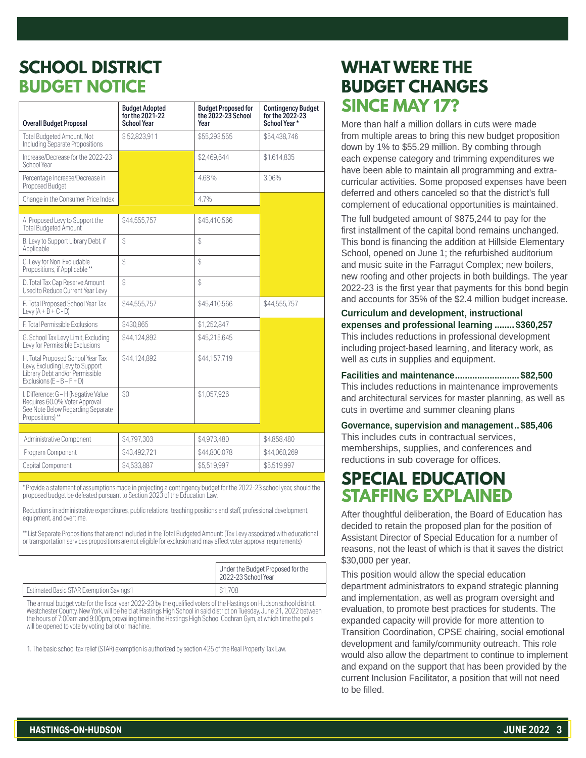## **SCHOOL DISTRICT BUDGET NOTICE**

| <b>Overall Budget Proposal</b>                                                                                                          | <b>Budget Adopted</b><br>for the 2021-22<br><b>School Year</b> | <b>Budget Proposed for</b><br>the 2022-23 School<br>Year | <b>Contingency Budget</b><br>for the 2022-23<br>School Year* |
|-----------------------------------------------------------------------------------------------------------------------------------------|----------------------------------------------------------------|----------------------------------------------------------|--------------------------------------------------------------|
| Total Budgeted Amount, Not<br>Including Separate Propositions                                                                           | \$52,823,911                                                   | \$55,293,555                                             | \$54,438,746                                                 |
| Increase/Decrease for the 2022-23<br>School Year                                                                                        |                                                                | \$2,469,644                                              | \$1,614,835                                                  |
| Percentage Increase/Decrease in<br>Proposed Budget                                                                                      |                                                                | 4.68%                                                    | 3.06%                                                        |
| Change in the Consumer Price Index                                                                                                      |                                                                | 4.7%                                                     |                                                              |
|                                                                                                                                         |                                                                |                                                          |                                                              |
| A. Proposed Levy to Support the<br>Total Budgeted Amount                                                                                | \$44,555,757                                                   | \$45.410.566                                             |                                                              |
| B. Levy to Support Library Debt, if<br>Applicable                                                                                       | \$                                                             | \$                                                       |                                                              |
| C. Levy for Non-Excludable<br>Propositions, if Applicable **                                                                            | \$                                                             | \$                                                       |                                                              |
| D. Total Tax Cap Reserve Amount<br>Used to Reduce Current Year Levy                                                                     | \$                                                             | \$                                                       |                                                              |
| E. Total Proposed School Year Tax<br>Levy $(A + B + C - D)$                                                                             | \$44,555,757                                                   | \$45.410.566                                             | \$44,555,757                                                 |
| F. Total Permissible Exclusions                                                                                                         | \$430,865                                                      | \$1,252,847                                              |                                                              |
| G. School Tax Levy Limit, Excluding<br>Levy for Permissible Exclusions                                                                  | \$44,124,892                                                   | \$45,215,645                                             |                                                              |
| H. Total Proposed School Year Tax<br>Levy, Excluding Levy to Support<br>Library Debt and/or Permissible<br>Exclusions $(E - B - F + D)$ | \$44.124.892                                                   | \$44.157.719                                             |                                                              |
| I. Difference: G - H (Negative Value<br>Requires 60.0% Voter Approval-<br>See Note Below Regarding Separate<br>Propositions)**          | \$0                                                            | \$1,057,926                                              |                                                              |
|                                                                                                                                         |                                                                |                                                          |                                                              |
| Administrative Component                                                                                                                | \$4,797,303                                                    | \$4.973.480                                              | \$4.858.480                                                  |
| Program Component                                                                                                                       | \$43,492,721                                                   | \$44,800,078                                             | \$44,060,269                                                 |
| Capital Component                                                                                                                       | \$4.533.887                                                    | \$5.519.997                                              | \$5.519.997                                                  |

\* Provide a statement of assumptions made in projecting a contingency budget for the 2022-23 school year, should the proposed budget be defeated pursuant to Section 2023 of the Education Law.

Reductions in administrative expenditures, public relations, teaching positions and staff, professional development, equipment, and overtime.

\*\* List Separate Propositions that are not included in the Total Budgeted Amount: (Tax Levy associated with educational or transportation services propositions are not eligible for exclusion and may affect voter approval requirements)

|                                                | Under the Budget Proposed for the<br>2022-23 School Year |
|------------------------------------------------|----------------------------------------------------------|
| <b>Estimated Basic STAR Exemption Savings1</b> | \$1,708                                                  |

The annual budget vote for the fiscal year 2022-23 by the qualified voters of the Hastings on Hudson school district, Westchester County, New York, will be held at Hastings High School in said district on Tuesday, June 21, 2022 between the hours of 7:00am and 9:00pm, prevailing time in the Hastings High School Cochran Gym, at which time the polls will be opened to vote by voting ballot or machine.

1. The basic school tax relief (STAR) exemption is authorized by section 425 of the Real Property Tax Law.

## **WHAT WERE THE BUDGET CHANGES SINCE MAY 17?**

More than half a million dollars in cuts were made from multiple areas to bring this new budget proposition down by 1% to \$55.29 million. By combing through each expense category and trimming expenditures we have been able to maintain all programming and extracurricular activities. Some proposed expenses have been deferred and others canceled so that the district's full complement of educational opportunities is maintained.

The full budgeted amount of \$875,244 to pay for the first installment of the capital bond remains unchanged. This bond is financing the addition at Hillside Elementary School, opened on June 1; the refurbished auditorium and music suite in the Farragut Complex; new boilers, new roofing and other projects in both buildings. The year 2022-23 is the first year that payments for this bond begin and accounts for 35% of the \$2.4 million budget increase.

**Curriculum and development, instructional expenses and professional learning ........ \$360,257** This includes reductions in professional development including project-based learning, and literacy work, as well as cuts in supplies and equipment.

**Facilities and maintenance.......................... \$82,500** This includes reductions in maintenance improvements and architectural services for master planning, as well as cuts in overtime and summer cleaning plans

**Governance, supervision and management.. \$85,406** This includes cuts in contractual services, memberships, supplies, and conferences and reductions in sub coverage for offices.

## **SPECIAL EDUCATION STAFFING EXPLAINED**

After thoughtful deliberation, the Board of Education has decided to retain the proposed plan for the position of Assistant Director of Special Education for a number of reasons, not the least of which is that it saves the district \$30,000 per year.

This position would allow the special education department administrators to expand strategic planning and implementation, as well as program oversight and evaluation, to promote best practices for students. The expanded capacity will provide for more attention to Transition Coordination, CPSE chairing, social emotional development and family/community outreach. This role would also allow the department to continue to implement and expand on the support that has been provided by the current Inclusion Facilitator, a position that will not need to be filled.